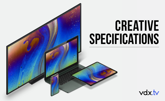# CREATIVE SPECIFICATIONS

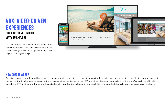## VDX: VIDEO-DRIVEN EXPERIENCES ONE EXPERIENCE, MULTIPLE WAYS TO EXPLORE

VDX ad formats use a standardized template to deliver repeatable scale and performance, while also including flexibility to adapt to the objectives of your campaign strategy.



#### HOW DOES IT WORK?

An initial video teaser with brand logo draws consumer attention and entices the user to interact with the ad. Upon consumer interaction, the teaser transforms into the main unit with a branded canvas, allowing for personalized creative messaging, CTA and other interactive features to drive the brand's objectives. VDX, which is available in OTT, In-stream, In-frame, and Expandable units, includes viewability, anti-fraud capabilities and brand safety mechanisms across different platforms.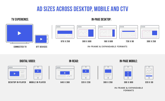# ad sizes across desktop, mobile and CTV

### TV EXPERIENCE:







 $000$ 

#### **IN-FRAME & EXPANDABLE FORMATS**

Connected TV OTT DEVICES

| 000 |  |
|-----|--|
|     |  |
|     |  |
|     |  |
|     |  |

 $\overline{O}$ 

Desktop in-player Mobile in-player



645 x 360 320 x 230

Digital video: IN-READ: IN-PAGE MOBILE:

| <b>STATE OF STATE OF STATE OF STATE OF STATE OF STATE OF STATE OF STATE OF STATE OF STATE OF STATE OF STATE OF S</b> |  |
|----------------------------------------------------------------------------------------------------------------------|--|
|                                                                                                                      |  |
|                                                                                                                      |  |
|                                                                                                                      |  |



| Ï |
|---|
|   |
|   |
|   |
| Э |
|   |

300 x 250 300 x 600 320 x 50

**IN-FR AME & EXPANDABLE FORMATS**

### IN-PAGE DESKTOP: